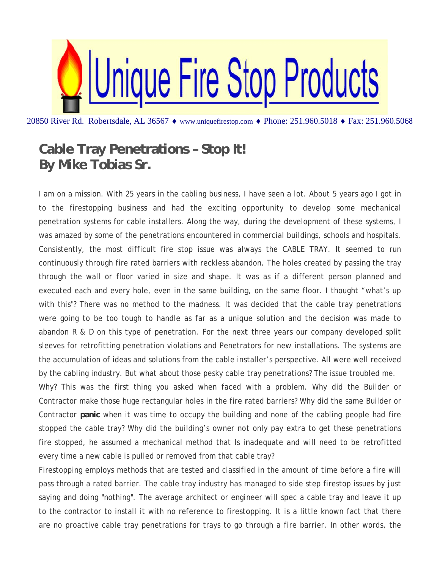

20850 River Rd. Robertsdale, AL 36567 ♦ www.uniquefirestop.com ♦ Phone: 251.960.5018 ♦ Fax: 251.960.5068

## **Cable Tray Penetrations - Stop It!** By Mike Tobias Sr.

I am on a mission. With 25 years in the cabling business, I have seen a lot. About 5 years ago I got in to the firestopping business and had the exciting opportunity to develop some mechanical penetration systems for cable installers. Along the way, during the development of these systems, I was amazed by some of the penetrations encountered in commercial buildings, schools and hospitals. Consistently, the most difficult fire stop issue was always the CABLE TRAY. It seemed to run continuously through fire rated barriers with reckless abandon. The holes created by passing the tray through the wall or floor varied in size and shape. It was as if a different person planned and executed each and every hole, even in the same building, on the same floor. I thought "what's up with this"? There was no method to the madness. It was decided that the cable tray penetrations were going to be too tough to handle as far as a unique solution and the decision was made to abandon R & D on this type of penetration. For the next three years our company developed split sleeves for retrofitting penetration violations and Penetrators for new installations. The systems are the accumulation of ideas and solutions from the cable installer's perspective. All were well received by the cabling industry. But what about those pesky cable tray penetrations? The issue troubled me.

Why? This was the first thing you asked when faced with a problem. Why did the Builder or Contractor make those huge rectangular holes in the fire rated barriers? Why did the same Builder or Contractor panic when it was time to occupy the building and none of the cabling people had fire stopped the cable tray? Why did the building's owner not only pay extra to get these penetrations fire stopped, he assumed a mechanical method that Is inadequate and will need to be retrofitted every time a new cable is pulled or removed from that cable tray?

Firestopping employs methods that are tested and classified in the amount of time before a fire will pass through a rated barrier. The cable tray industry has managed to side step firestop issues by just saying and doing "nothing". The average architect or engineer will spec a cable tray and leave it up to the contractor to install it with no reference to firestopping. It is a little known fact that there are no proactive cable tray penetrations for trays to go through a fire barrier. In other words, the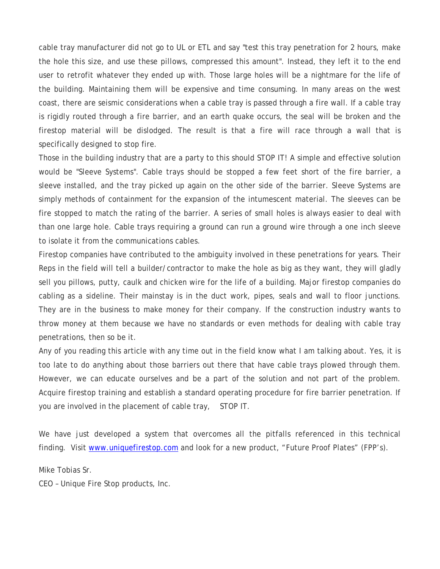cable tray manufacturer did not go to UL or ETL and say "test this tray penetration for 2 hours, make the hole this size, and use these pillows, compressed this amount". Instead, they left it to the end user to retrofit whatever they ended up with. Those large holes will be a nightmare for the life of the building. Maintaining them will be expensive and time consuming. In many areas on the west coast, there are seismic considerations when a cable tray is passed through a fire wall. If a cable tray is rigidly routed through a fire barrier, and an earth quake occurs, the seal will be broken and the firestop material will be dislodged. The result is that a fire will race through a wall that is specifically designed to stop fire.

Those in the building industry that are a party to this should STOP IT! A simple and effective solution would be "Sleeve Systems". Cable trays should be stopped a few feet short of the fire barrier, a sleeve installed, and the tray picked up again on the other side of the barrier. Sleeve Systems are simply methods of containment for the expansion of the intumescent material. The sleeves can be fire stopped to match the rating of the barrier. A series of small holes is always easier to deal with than one large hole. Cable trays requiring a ground can run a ground wire through a one inch sleeve to isolate it from the communications cables.

Firestop companies have contributed to the ambiguity involved in these penetrations for years. Their Reps in the field will tell a builder/contractor to make the hole as big as they want, they will gladly sell you pillows, putty, caulk and chicken wire for the life of a building. Major firestop companies do cabling as a sideline. Their mainstay is in the duct work, pipes, seals and wall to floor junctions. They are in the business to make money for their company. If the construction industry wants to throw money at them because we have no standards or even methods for dealing with cable tray penetrations, then so be it.

Any of you reading this article with any time out in the field know what I am talking about. Yes, it is too late to do anything about those barriers out there that have cable trays plowed through them. However, we can educate ourselves and be a part of the solution and not part of the problem. Acquire firestop training and establish a standard operating procedure for fire barrier penetration. If you are involved in the placement of cable tray, STOP IT.

We have just developed a system that overcomes all the pitfalls referenced in this technical finding. Visit www.uniquefirestop.com and look for a new product, "Future Proof Plates" (FPP's).

Mike Tobias Sr.

CEO – Unique Fire Stop products, Inc.